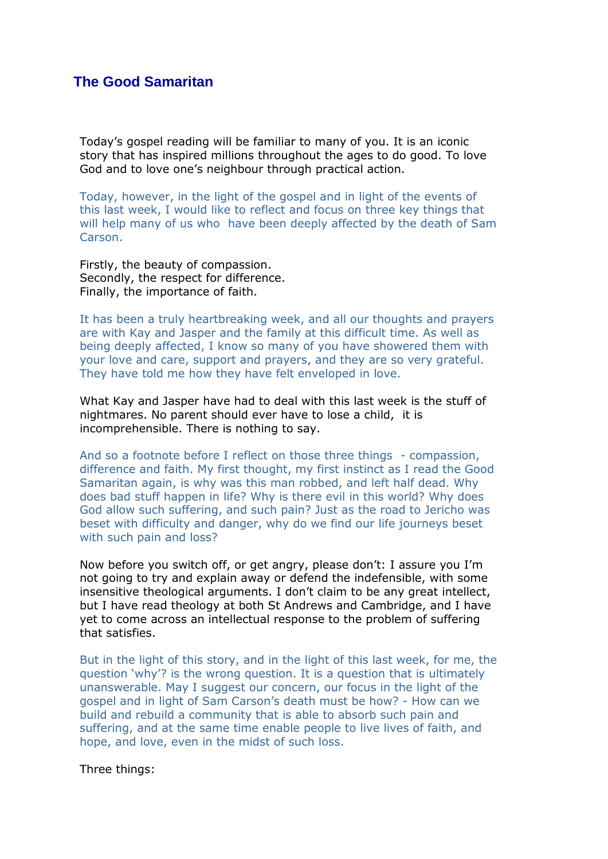## **The Good Samaritan**

Today's gospel reading will be familiar to many of you. It is an iconic story that has inspired millions throughout the ages to do good. To love God and to love one's neighbour through practical action.

Today, however, in the light of the gospel and in light of the events of this last week, I would like to reflect and focus on three key things that will help many of us who have been deeply affected by the death of Sam Carson.

Firstly, the beauty of compassion. Secondly, the respect for difference. Finally, the importance of faith.

It has been a truly heartbreaking week, and all our thoughts and prayers are with Kay and Jasper and the family at this difficult time. As well as being deeply affected, I know so many of you have showered them with your love and care, support and prayers, and they are so very grateful. They have told me how they have felt enveloped in love.

What Kay and Jasper have had to deal with this last week is the stuff of nightmares. No parent should ever have to lose a child, it is incomprehensible. There is nothing to say.

And so a footnote before I reflect on those three things - compassion, difference and faith. My first thought, my first instinct as I read the Good Samaritan again, is why was this man robbed, and left half dead. Why does bad stuff happen in life? Why is there evil in this world? Why does God allow such suffering, and such pain? Just as the road to Jericho was beset with difficulty and danger, why do we find our life journeys beset with such pain and loss?

Now before you switch off, or get angry, please don't: I assure you I'm not going to try and explain away or defend the indefensible, with some insensitive theological arguments. I don't claim to be any great intellect, but I have read theology at both St Andrews and Cambridge, and I have yet to come across an intellectual response to the problem of suffering that satisfies.

But in the light of this story, and in the light of this last week, for me, the question 'why'? is the wrong question. It is a question that is ultimately unanswerable. May I suggest our concern, our focus in the light of the gospel and in light of Sam Carson's death must be how? - How can we build and rebuild a community that is able to absorb such pain and suffering, and at the same time enable people to live lives of faith, and hope, and love, even in the midst of such loss.

Three things: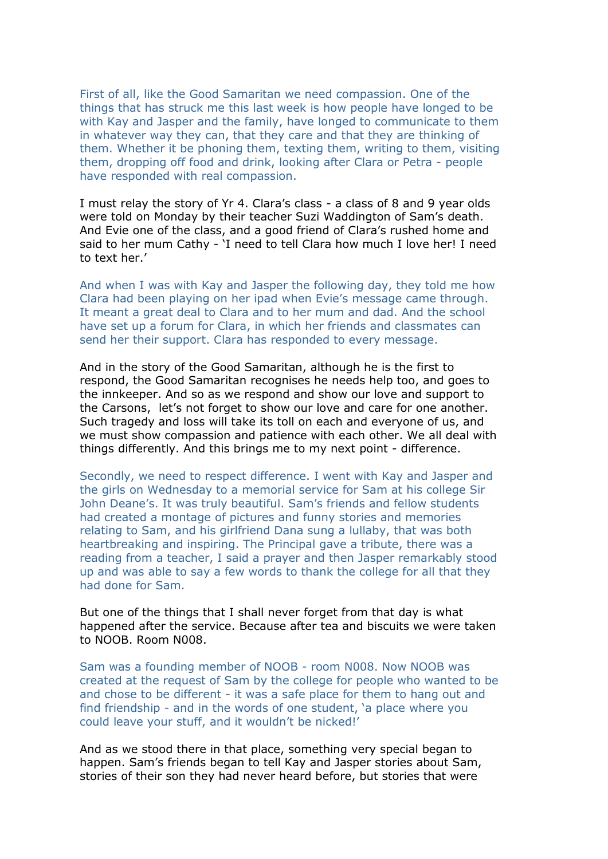First of all, like the Good Samaritan we need compassion. One of the things that has struck me this last week is how people have longed to be with Kay and Jasper and the family, have longed to communicate to them in whatever way they can, that they care and that they are thinking of them. Whether it be phoning them, texting them, writing to them, visiting them, dropping off food and drink, looking after Clara or Petra - people have responded with real compassion.

I must relay the story of Yr 4. Clara's class - a class of 8 and 9 year olds were told on Monday by their teacher Suzi Waddington of Sam's death. And Evie one of the class, and a good friend of Clara's rushed home and said to her mum Cathy - 'I need to tell Clara how much I love her! I need to text her.'

And when I was with Kay and Jasper the following day, they told me how Clara had been playing on her ipad when Evie's message came through. It meant a great deal to Clara and to her mum and dad. And the school have set up a forum for Clara, in which her friends and classmates can send her their support. Clara has responded to every message.

And in the story of the Good Samaritan, although he is the first to respond, the Good Samaritan recognises he needs help too, and goes to the innkeeper. And so as we respond and show our love and support to the Carsons, let's not forget to show our love and care for one another. Such tragedy and loss will take its toll on each and everyone of us, and we must show compassion and patience with each other. We all deal with things differently. And this brings me to my next point - difference.

Secondly, we need to respect difference. I went with Kay and Jasper and the girls on Wednesday to a memorial service for Sam at his college Sir John Deane's. It was truly beautiful. Sam's friends and fellow students had created a montage of pictures and funny stories and memories relating to Sam, and his girlfriend Dana sung a lullaby, that was both heartbreaking and inspiring. The Principal gave a tribute, there was a reading from a teacher, I said a prayer and then Jasper remarkably stood up and was able to say a few words to thank the college for all that they had done for Sam.

But one of the things that I shall never forget from that day is what happened after the service. Because after tea and biscuits we were taken to NOOB. Room N008.

Sam was a founding member of NOOB - room N008. Now NOOB was created at the request of Sam by the college for people who wanted to be and chose to be different - it was a safe place for them to hang out and find friendship - and in the words of one student, 'a place where you could leave your stuff, and it wouldn't be nicked!'

And as we stood there in that place, something very special began to happen. Sam's friends began to tell Kay and Jasper stories about Sam, stories of their son they had never heard before, but stories that were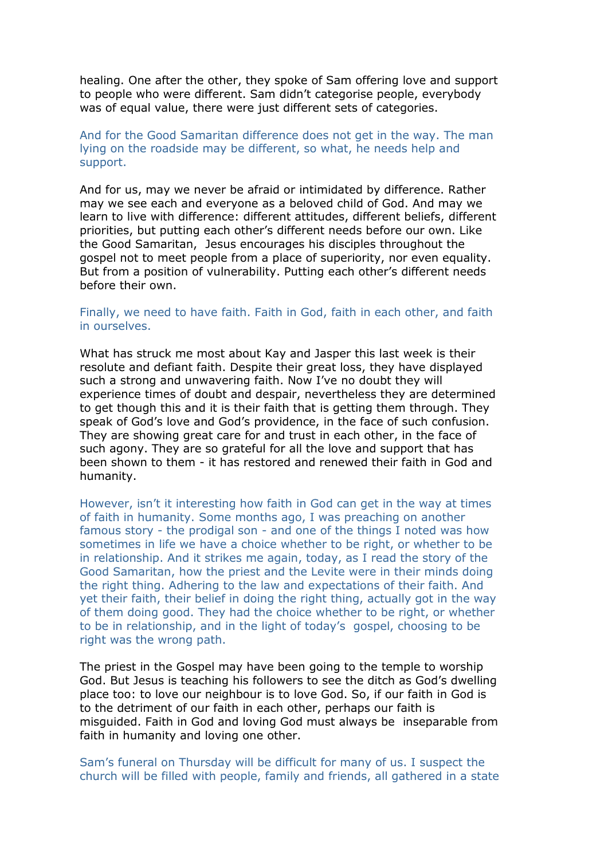healing. One after the other, they spoke of Sam offering love and support to people who were different. Sam didn't categorise people, everybody was of equal value, there were just different sets of categories.

## And for the Good Samaritan difference does not get in the way. The man lying on the roadside may be different, so what, he needs help and support.

And for us, may we never be afraid or intimidated by difference. Rather may we see each and everyone as a beloved child of God. And may we learn to live with difference: different attitudes, different beliefs, different priorities, but putting each other's different needs before our own. Like the Good Samaritan, Jesus encourages his disciples throughout the gospel not to meet people from a place of superiority, nor even equality. But from a position of vulnerability. Putting each other's different needs before their own.

## Finally, we need to have faith. Faith in God, faith in each other, and faith in ourselves.

What has struck me most about Kay and Jasper this last week is their resolute and defiant faith. Despite their great loss, they have displayed such a strong and unwavering faith. Now I've no doubt they will experience times of doubt and despair, nevertheless they are determined to get though this and it is their faith that is getting them through. They speak of God's love and God's providence, in the face of such confusion. They are showing great care for and trust in each other, in the face of such agony. They are so grateful for all the love and support that has been shown to them - it has restored and renewed their faith in God and humanity.

However, isn't it interesting how faith in God can get in the way at times of faith in humanity. Some months ago, I was preaching on another famous story - the prodigal son - and one of the things I noted was how sometimes in life we have a choice whether to be right, or whether to be in relationship. And it strikes me again, today, as I read the story of the Good Samaritan, how the priest and the Levite were in their minds doing the right thing. Adhering to the law and expectations of their faith. And yet their faith, their belief in doing the right thing, actually got in the way of them doing good. They had the choice whether to be right, or whether to be in relationship, and in the light of today's gospel, choosing to be right was the wrong path.

The priest in the Gospel may have been going to the temple to worship God. But Jesus is teaching his followers to see the ditch as God's dwelling place too: to love our neighbour is to love God. So, if our faith in God is to the detriment of our faith in each other, perhaps our faith is misguided. Faith in God and loving God must always be inseparable from faith in humanity and loving one other.

Sam's funeral on Thursday will be difficult for many of us. I suspect the church will be filled with people, family and friends, all gathered in a state